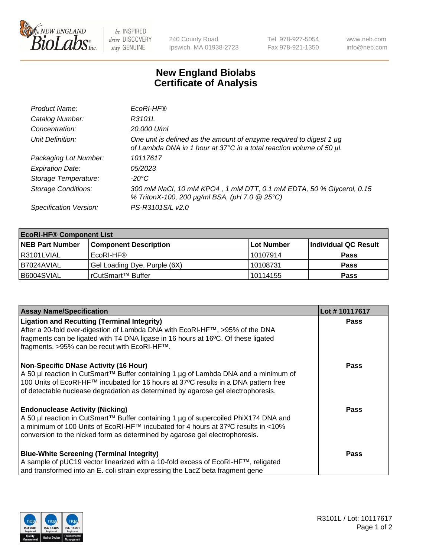

be INSPIRED drive DISCOVERY stay GENUINE

240 County Road Ipswich, MA 01938-2723 Tel 978-927-5054 Fax 978-921-1350 www.neb.com info@neb.com

## **New England Biolabs Certificate of Analysis**

| Product Name:              | EcoRI-HF®                                                                                                                                   |
|----------------------------|---------------------------------------------------------------------------------------------------------------------------------------------|
| Catalog Number:            | R3101L                                                                                                                                      |
| Concentration:             | 20,000 U/ml                                                                                                                                 |
| Unit Definition:           | One unit is defined as the amount of enzyme required to digest 1 µg<br>of Lambda DNA in 1 hour at 37°C in a total reaction volume of 50 µl. |
| Packaging Lot Number:      | 10117617                                                                                                                                    |
| <b>Expiration Date:</b>    | 05/2023                                                                                                                                     |
| Storage Temperature:       | -20°C                                                                                                                                       |
| <b>Storage Conditions:</b> | 300 mM NaCl, 10 mM KPO4, 1 mM DTT, 0.1 mM EDTA, 50 % Glycerol, 0.15<br>% TritonX-100, 200 µg/ml BSA, (pH 7.0 @ 25°C)                        |
| Specification Version:     | PS-R3101S/L v2.0                                                                                                                            |

| <b>EcoRI-HF® Component List</b> |                              |                   |                      |  |  |
|---------------------------------|------------------------------|-------------------|----------------------|--|--|
| <b>NEB Part Number</b>          | <b>Component Description</b> | <b>Lot Number</b> | Individual QC Result |  |  |
| R3101LVIAL                      | EcoRI-HF®                    | 10107914          | <b>Pass</b>          |  |  |
| B7024AVIAL                      | Gel Loading Dye, Purple (6X) | 10108731          | <b>Pass</b>          |  |  |
| B6004SVIAL                      | l rCutSmart™ Buffer          | 10114155          | <b>Pass</b>          |  |  |

| <b>Assay Name/Specification</b>                                                                                                                                                                                                                                                                                  | Lot #10117617 |
|------------------------------------------------------------------------------------------------------------------------------------------------------------------------------------------------------------------------------------------------------------------------------------------------------------------|---------------|
| <b>Ligation and Recutting (Terminal Integrity)</b><br>After a 20-fold over-digestion of Lambda DNA with EcoRI-HF™, >95% of the DNA<br>fragments can be ligated with T4 DNA ligase in 16 hours at 16°C. Of these ligated<br>fragments, >95% can be recut with EcoRI-HF™.                                          | <b>Pass</b>   |
| <b>Non-Specific DNase Activity (16 Hour)</b><br>  A 50 µl reaction in CutSmart™ Buffer containing 1 µg of Lambda DNA and a minimum of<br>100 Units of EcoRI-HF™ incubated for 16 hours at 37°C results in a DNA pattern free<br>of detectable nuclease degradation as determined by agarose gel electrophoresis. | <b>Pass</b>   |
| <b>Endonuclease Activity (Nicking)</b><br>A 50 µl reaction in CutSmart™ Buffer containing 1 µg of supercoiled PhiX174 DNA and<br> a minimum of 100 Units of EcoRI-HF™ incubated for 4 hours at 37°C results in <10%<br>conversion to the nicked form as determined by agarose gel electrophoresis.               | <b>Pass</b>   |
| <b>Blue-White Screening (Terminal Integrity)</b><br>A sample of pUC19 vector linearized with a 10-fold excess of EcoRI-HF™, religated<br>and transformed into an E. coli strain expressing the LacZ beta fragment gene                                                                                           | <b>Pass</b>   |